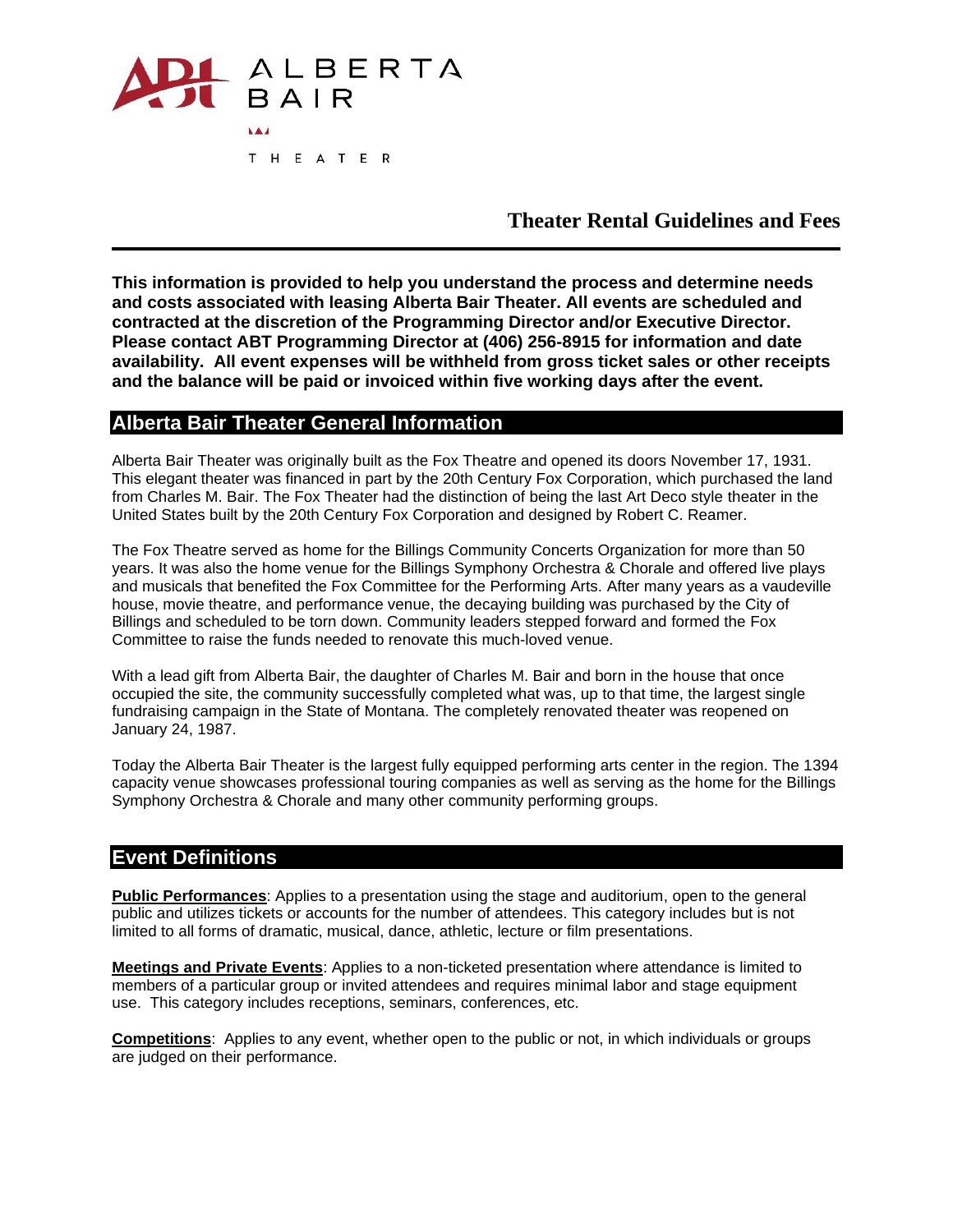

# **Theater Rental Guidelines and Fees**

**This information is provided to help you understand the process and determine needs and costs associated with leasing Alberta Bair Theater. All events are scheduled and contracted at the discretion of the Programming Director and/or Executive Director. Please contact ABT Programming Director at (406) 256-8915 for information and date availability. All event expenses will be withheld from gross ticket sales or other receipts and the balance will be paid or invoiced within five working days after the event.**

### **Alberta Bair Theater General Information**

Alberta Bair Theater was originally built as the Fox Theatre and opened its doors November 17, 1931. This elegant theater was financed in part by the 20th Century Fox Corporation, which purchased the land from Charles M. Bair. The Fox Theater had the distinction of being the last Art Deco style theater in the United States built by the 20th Century Fox Corporation and designed by Robert C. Reamer.

The Fox Theatre served as home for the Billings Community Concerts Organization for more than 50 years. It was also the home venue for the Billings Symphony Orchestra & Chorale and offered live plays and musicals that benefited the Fox Committee for the Performing Arts. After many years as a vaudeville house, movie theatre, and performance venue, the decaying building was purchased by the City of Billings and scheduled to be torn down. Community leaders stepped forward and formed the Fox Committee to raise the funds needed to renovate this much-loved venue.

With a lead gift from Alberta Bair, the daughter of Charles M. Bair and born in the house that once occupied the site, the community successfully completed what was, up to that time, the largest single fundraising campaign in the State of Montana. The completely renovated theater was reopened on January 24, 1987.

Today the Alberta Bair Theater is the largest fully equipped performing arts center in the region. The 1394 capacity venue showcases professional touring companies as well as serving as the home for the Billings Symphony Orchestra & Chorale and many other community performing groups.

## **Event Definitions**

**Public Performances**: Applies to a presentation using the stage and auditorium, open to the general public and utilizes tickets or accounts for the number of attendees. This category includes but is not limited to all forms of dramatic, musical, dance, athletic, lecture or film presentations.

**Meetings and Private Events**: Applies to a non-ticketed presentation where attendance is limited to members of a particular group or invited attendees and requires minimal labor and stage equipment use. This category includes receptions, seminars, conferences, etc.

**Competitions**: Applies to any event, whether open to the public or not, in which individuals or groups are judged on their performance.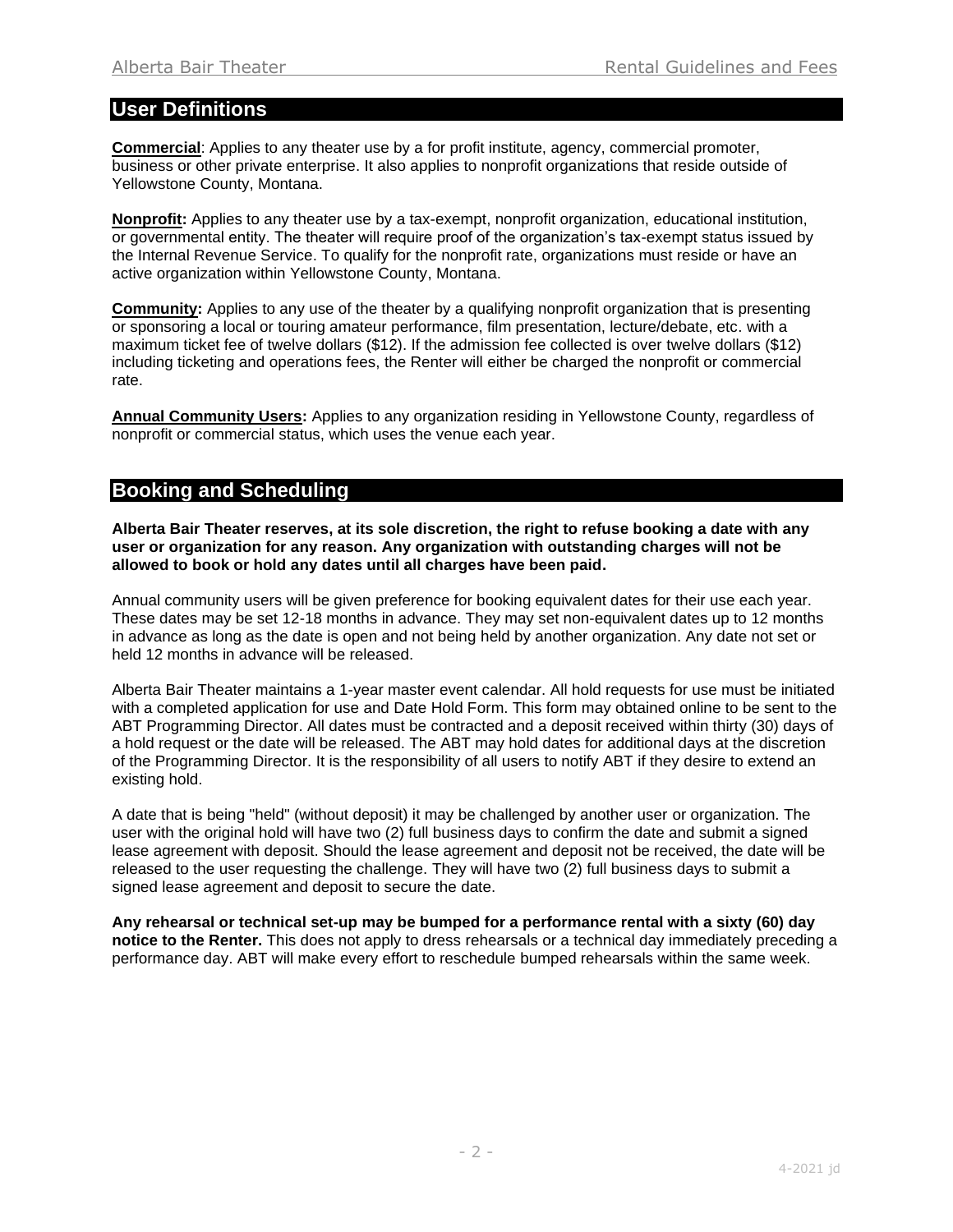## **User Definitions**

**Commercial**: Applies to any theater use by a for profit institute, agency, commercial promoter, business or other private enterprise. It also applies to nonprofit organizations that reside outside of Yellowstone County, Montana.

**Nonprofit:** Applies to any theater use by a tax-exempt, nonprofit organization, educational institution, or governmental entity. The theater will require proof of the organization's tax-exempt status issued by the Internal Revenue Service. To qualify for the nonprofit rate, organizations must reside or have an active organization within Yellowstone County, Montana.

**Community:** Applies to any use of the theater by a qualifying nonprofit organization that is presenting or sponsoring a local or touring amateur performance, film presentation, lecture/debate, etc. with a maximum ticket fee of twelve dollars (\$12). If the admission fee collected is over twelve dollars (\$12) including ticketing and operations fees, the Renter will either be charged the nonprofit or commercial rate.

**Annual Community Users:** Applies to any organization residing in Yellowstone County, regardless of nonprofit or commercial status, which uses the venue each year.

# **Booking and Scheduling**

**Alberta Bair Theater reserves, at its sole discretion, the right to refuse booking a date with any user or organization for any reason. Any organization with outstanding charges will not be allowed to book or hold any dates until all charges have been paid.**

Annual community users will be given preference for booking equivalent dates for their use each year. These dates may be set 12-18 months in advance. They may set non-equivalent dates up to 12 months in advance as long as the date is open and not being held by another organization. Any date not set or held 12 months in advance will be released.

Alberta Bair Theater maintains a 1-year master event calendar. All hold requests for use must be initiated with a completed application for use and Date Hold Form. This form may obtained online to be sent to the ABT Programming Director. All dates must be contracted and a deposit received within thirty (30) days of a hold request or the date will be released. The ABT may hold dates for additional days at the discretion of the Programming Director. It is the responsibility of all users to notify ABT if they desire to extend an existing hold.

A date that is being "held" (without deposit) it may be challenged by another user or organization. The user with the original hold will have two (2) full business days to confirm the date and submit a signed lease agreement with deposit. Should the lease agreement and deposit not be received, the date will be released to the user requesting the challenge. They will have two (2) full business days to submit a signed lease agreement and deposit to secure the date.

**Any rehearsal or technical set-up may be bumped for a performance rental with a sixty (60) day notice to the Renter.** This does not apply to dress rehearsals or a technical day immediately preceding a performance day. ABT will make every effort to reschedule bumped rehearsals within the same week.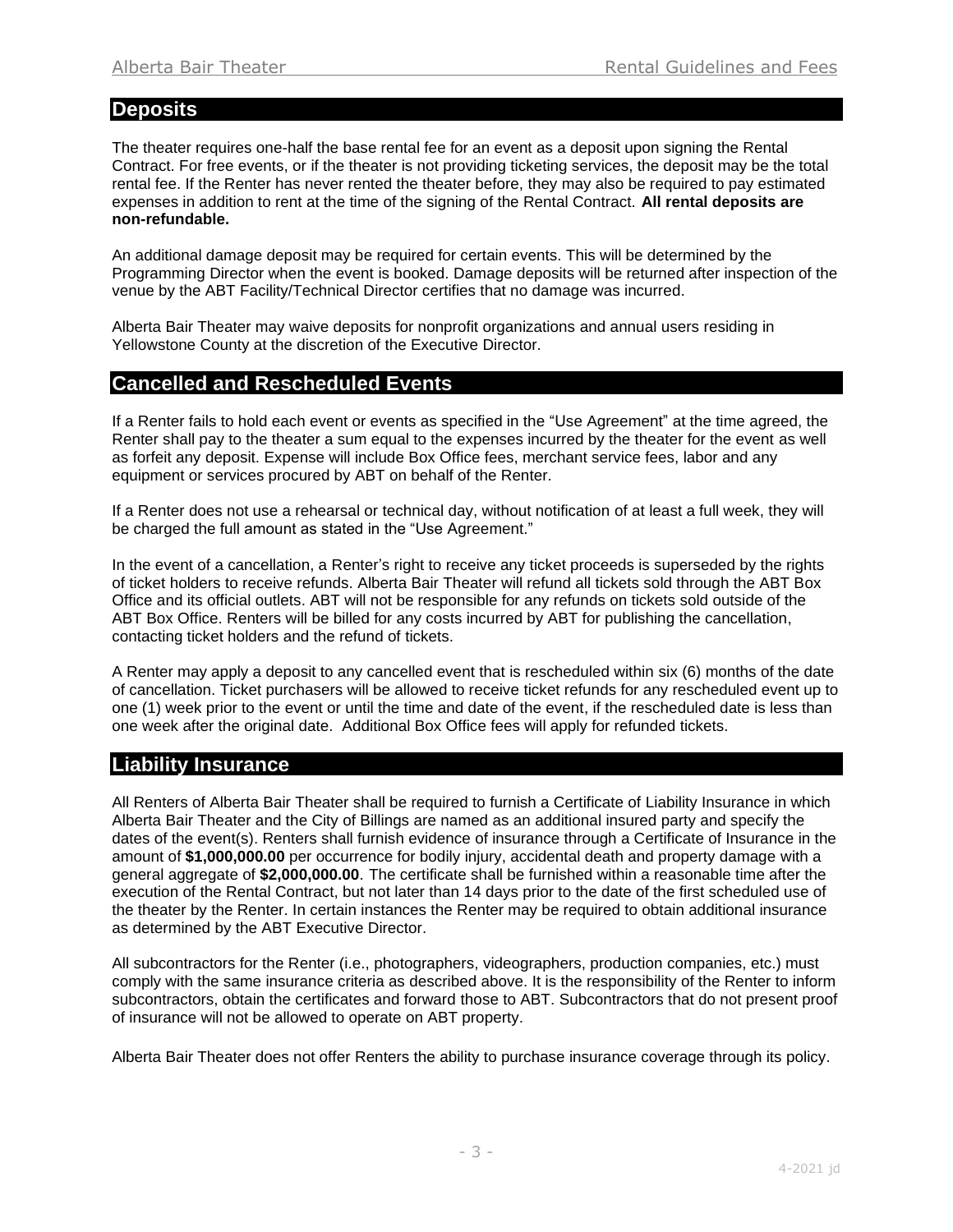### **Deposits**

The theater requires one-half the base rental fee for an event as a deposit upon signing the Rental Contract. For free events, or if the theater is not providing ticketing services, the deposit may be the total rental fee. If the Renter has never rented the theater before, they may also be required to pay estimated expenses in addition to rent at the time of the signing of the Rental Contract. **All rental deposits are non-refundable.**

An additional damage deposit may be required for certain events. This will be determined by the Programming Director when the event is booked. Damage deposits will be returned after inspection of the venue by the ABT Facility/Technical Director certifies that no damage was incurred.

Alberta Bair Theater may waive deposits for nonprofit organizations and annual users residing in Yellowstone County at the discretion of the Executive Director.

## **Cancelled and Rescheduled Events**

If a Renter fails to hold each event or events as specified in the "Use Agreement" at the time agreed, the Renter shall pay to the theater a sum equal to the expenses incurred by the theater for the event as well as forfeit any deposit. Expense will include Box Office fees, merchant service fees, labor and any equipment or services procured by ABT on behalf of the Renter.

If a Renter does not use a rehearsal or technical day, without notification of at least a full week, they will be charged the full amount as stated in the "Use Agreement."

In the event of a cancellation, a Renter's right to receive any ticket proceeds is superseded by the rights of ticket holders to receive refunds. Alberta Bair Theater will refund all tickets sold through the ABT Box Office and its official outlets. ABT will not be responsible for any refunds on tickets sold outside of the ABT Box Office. Renters will be billed for any costs incurred by ABT for publishing the cancellation, contacting ticket holders and the refund of tickets.

A Renter may apply a deposit to any cancelled event that is rescheduled within six (6) months of the date of cancellation. Ticket purchasers will be allowed to receive ticket refunds for any rescheduled event up to one (1) week prior to the event or until the time and date of the event, if the rescheduled date is less than one week after the original date. Additional Box Office fees will apply for refunded tickets.

## **Liability Insurance**

All Renters of Alberta Bair Theater shall be required to furnish a Certificate of Liability Insurance in which Alberta Bair Theater and the City of Billings are named as an additional insured party and specify the dates of the event(s). Renters shall furnish evidence of insurance through a Certificate of Insurance in the amount of **\$1,000,000.00** per occurrence for bodily injury, accidental death and property damage with a general aggregate of **\$2,000,000.00**. The certificate shall be furnished within a reasonable time after the execution of the Rental Contract, but not later than 14 days prior to the date of the first scheduled use of the theater by the Renter. In certain instances the Renter may be required to obtain additional insurance as determined by the ABT Executive Director.

All subcontractors for the Renter (i.e., photographers, videographers, production companies, etc.) must comply with the same insurance criteria as described above. It is the responsibility of the Renter to inform subcontractors, obtain the certificates and forward those to ABT. Subcontractors that do not present proof of insurance will not be allowed to operate on ABT property.

Alberta Bair Theater does not offer Renters the ability to purchase insurance coverage through its policy.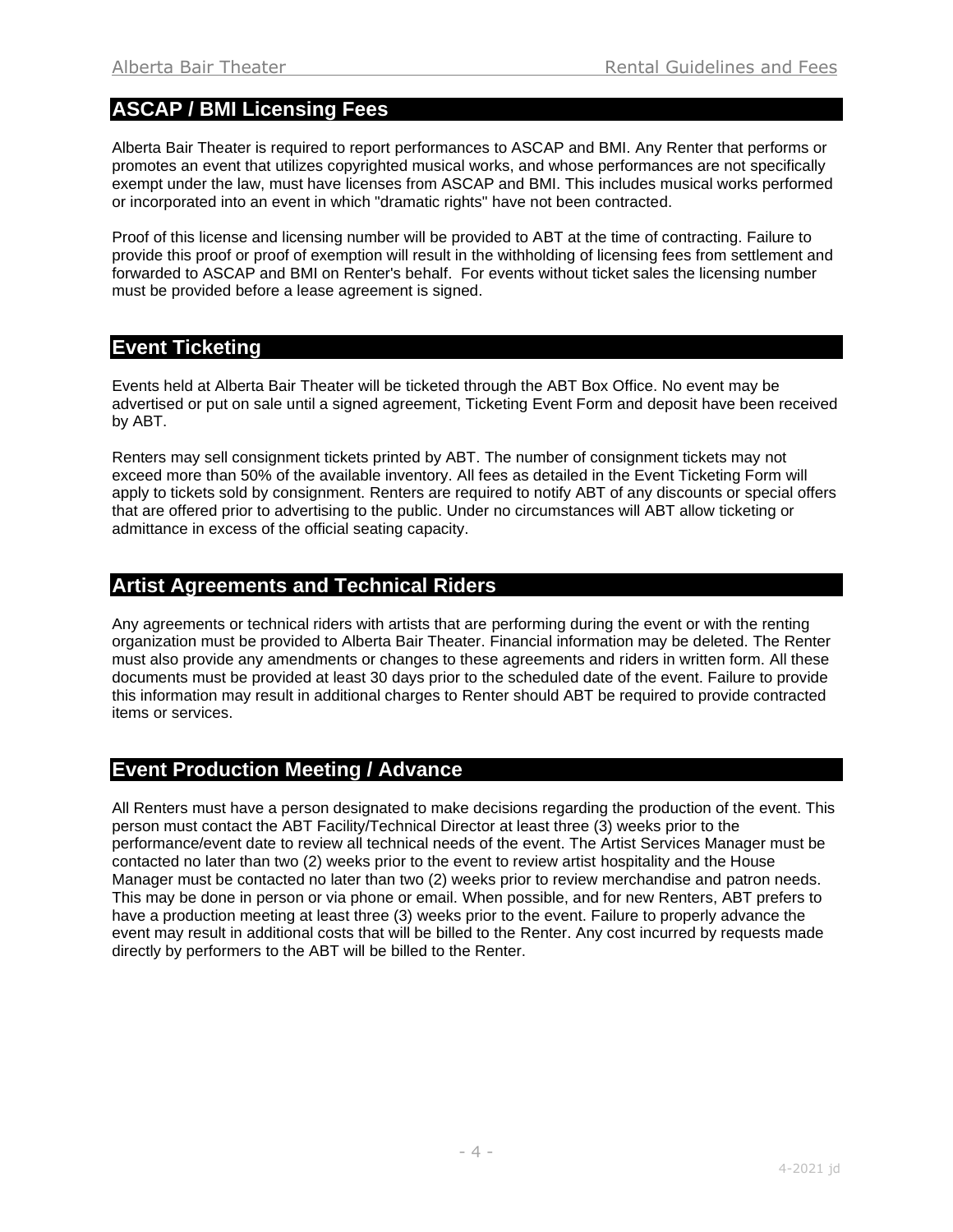# **ASCAP / BMI Licensing Fees**

Alberta Bair Theater is required to report performances to ASCAP and BMI. Any Renter that performs or promotes an event that utilizes copyrighted musical works, and whose performances are not specifically exempt under the law, must have licenses from ASCAP and BMI. This includes musical works performed or incorporated into an event in which "dramatic rights" have not been contracted.

Proof of this license and licensing number will be provided to ABT at the time of contracting. Failure to provide this proof or proof of exemption will result in the withholding of licensing fees from settlement and forwarded to ASCAP and BMI on Renter's behalf. For events without ticket sales the licensing number must be provided before a lease agreement is signed.

## **Event Ticketing**

Events held at Alberta Bair Theater will be ticketed through the ABT Box Office. No event may be advertised or put on sale until a signed agreement, Ticketing Event Form and deposit have been received by ABT.

Renters may sell consignment tickets printed by ABT. The number of consignment tickets may not exceed more than 50% of the available inventory. All fees as detailed in the Event Ticketing Form will apply to tickets sold by consignment. Renters are required to notify ABT of any discounts or special offers that are offered prior to advertising to the public. Under no circumstances will ABT allow ticketing or admittance in excess of the official seating capacity.

# **Artist Agreements and Technical Riders**

Any agreements or technical riders with artists that are performing during the event or with the renting organization must be provided to Alberta Bair Theater. Financial information may be deleted. The Renter must also provide any amendments or changes to these agreements and riders in written form. All these documents must be provided at least 30 days prior to the scheduled date of the event. Failure to provide this information may result in additional charges to Renter should ABT be required to provide contracted items or services.

# **Event Production Meeting / Advance**

All Renters must have a person designated to make decisions regarding the production of the event. This person must contact the ABT Facility/Technical Director at least three (3) weeks prior to the performance/event date to review all technical needs of the event. The Artist Services Manager must be contacted no later than two (2) weeks prior to the event to review artist hospitality and the House Manager must be contacted no later than two (2) weeks prior to review merchandise and patron needs. This may be done in person or via phone or email. When possible, and for new Renters, ABT prefers to have a production meeting at least three (3) weeks prior to the event. Failure to properly advance the event may result in additional costs that will be billed to the Renter. Any cost incurred by requests made directly by performers to the ABT will be billed to the Renter.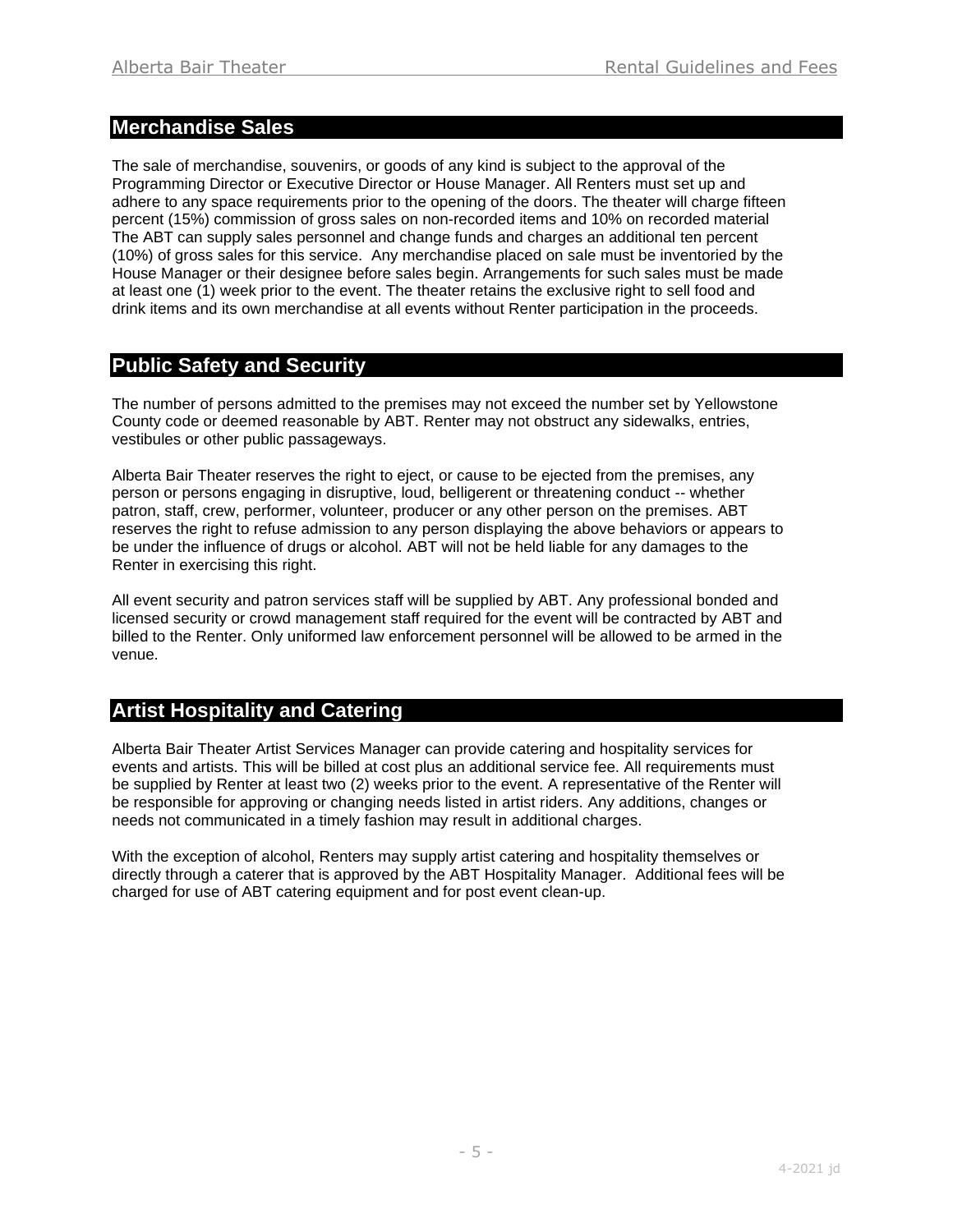# **Merchandise Sales**

The sale of merchandise, souvenirs, or goods of any kind is subject to the approval of the Programming Director or Executive Director or House Manager. All Renters must set up and adhere to any space requirements prior to the opening of the doors. The theater will charge fifteen percent (15%) commission of gross sales on non-recorded items and 10% on recorded material The ABT can supply sales personnel and change funds and charges an additional ten percent (10%) of gross sales for this service. Any merchandise placed on sale must be inventoried by the House Manager or their designee before sales begin. Arrangements for such sales must be made at least one (1) week prior to the event. The theater retains the exclusive right to sell food and drink items and its own merchandise at all events without Renter participation in the proceeds.

# **Public Safety and Security**

The number of persons admitted to the premises may not exceed the number set by Yellowstone County code or deemed reasonable by ABT. Renter may not obstruct any sidewalks, entries, vestibules or other public passageways.

Alberta Bair Theater reserves the right to eject, or cause to be ejected from the premises, any person or persons engaging in disruptive, loud, belligerent or threatening conduct -- whether patron, staff, crew, performer, volunteer, producer or any other person on the premises. ABT reserves the right to refuse admission to any person displaying the above behaviors or appears to be under the influence of drugs or alcohol. ABT will not be held liable for any damages to the Renter in exercising this right.

All event security and patron services staff will be supplied by ABT. Any professional bonded and licensed security or crowd management staff required for the event will be contracted by ABT and billed to the Renter. Only uniformed law enforcement personnel will be allowed to be armed in the venue.

# **Artist Hospitality and Catering**

Alberta Bair Theater Artist Services Manager can provide catering and hospitality services for events and artists. This will be billed at cost plus an additional service fee. All requirements must be supplied by Renter at least two (2) weeks prior to the event. A representative of the Renter will be responsible for approving or changing needs listed in artist riders. Any additions, changes or needs not communicated in a timely fashion may result in additional charges.

With the exception of alcohol, Renters may supply artist catering and hospitality themselves or directly through a caterer that is approved by the ABT Hospitality Manager. Additional fees will be charged for use of ABT catering equipment and for post event clean-up.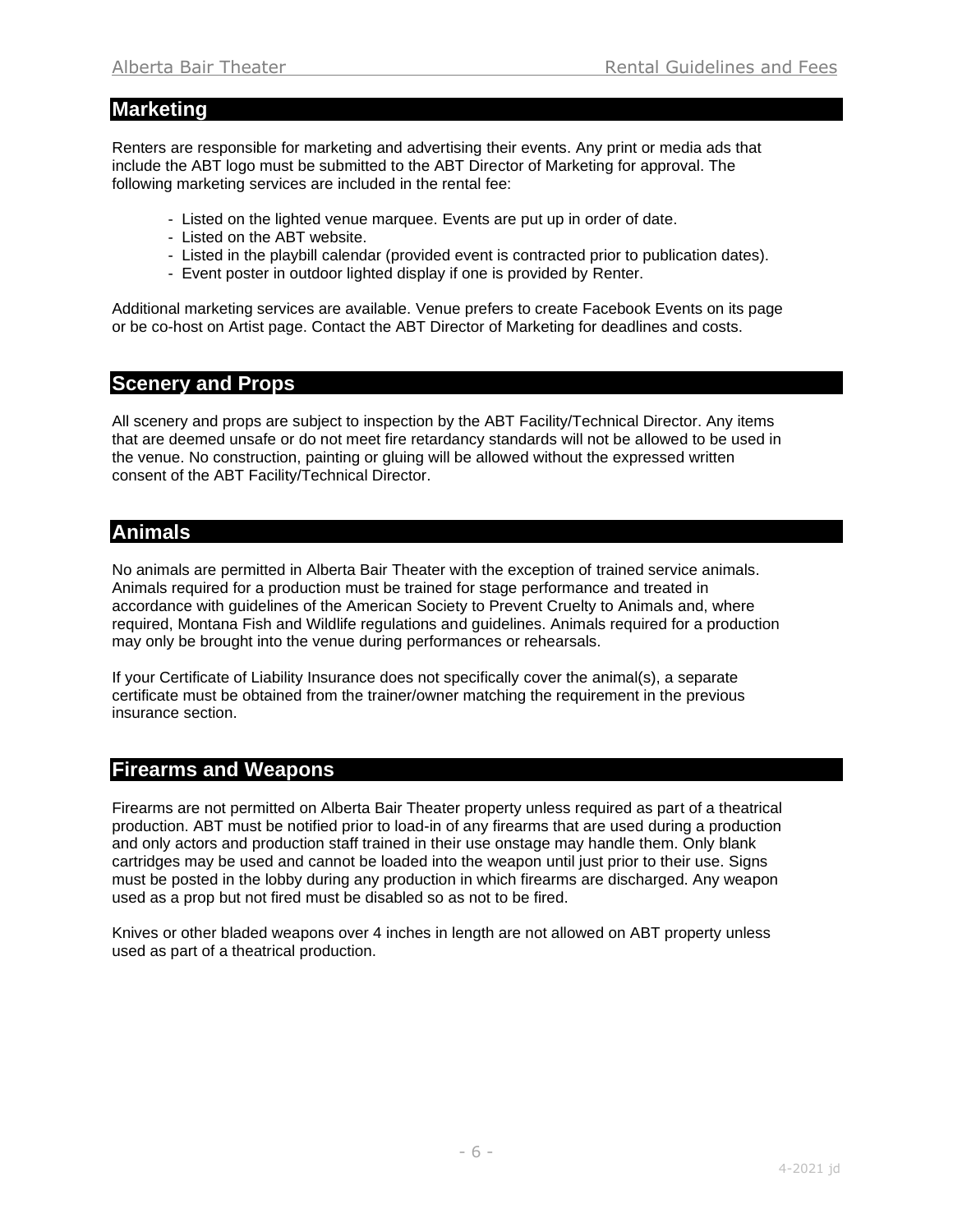## **Marketing**

Renters are responsible for marketing and advertising their events. Any print or media ads that include the ABT logo must be submitted to the ABT Director of Marketing for approval. The following marketing services are included in the rental fee:

- Listed on the lighted venue marquee. Events are put up in order of date.
- Listed on the ABT website.
- Listed in the playbill calendar (provided event is contracted prior to publication dates).
- Event poster in outdoor lighted display if one is provided by Renter.

Additional marketing services are available. Venue prefers to create Facebook Events on its page or be co-host on Artist page. Contact the ABT Director of Marketing for deadlines and costs.

# **Scenery and Props**

All scenery and props are subject to inspection by the ABT Facility/Technical Director. Any items that are deemed unsafe or do not meet fire retardancy standards will not be allowed to be used in the venue. No construction, painting or gluing will be allowed without the expressed written consent of the ABT Facility/Technical Director.

# **Animals**

No animals are permitted in Alberta Bair Theater with the exception of trained service animals. Animals required for a production must be trained for stage performance and treated in accordance with guidelines of the American Society to Prevent Cruelty to Animals and, where required, Montana Fish and Wildlife regulations and guidelines. Animals required for a production may only be brought into the venue during performances or rehearsals.

If your Certificate of Liability Insurance does not specifically cover the animal(s), a separate certificate must be obtained from the trainer/owner matching the requirement in the previous insurance section.

# **Firearms and Weapons**

Firearms are not permitted on Alberta Bair Theater property unless required as part of a theatrical production. ABT must be notified prior to load-in of any firearms that are used during a production and only actors and production staff trained in their use onstage may handle them. Only blank cartridges may be used and cannot be loaded into the weapon until just prior to their use. Signs must be posted in the lobby during any production in which firearms are discharged. Any weapon used as a prop but not fired must be disabled so as not to be fired.

Knives or other bladed weapons over 4 inches in length are not allowed on ABT property unless used as part of a theatrical production.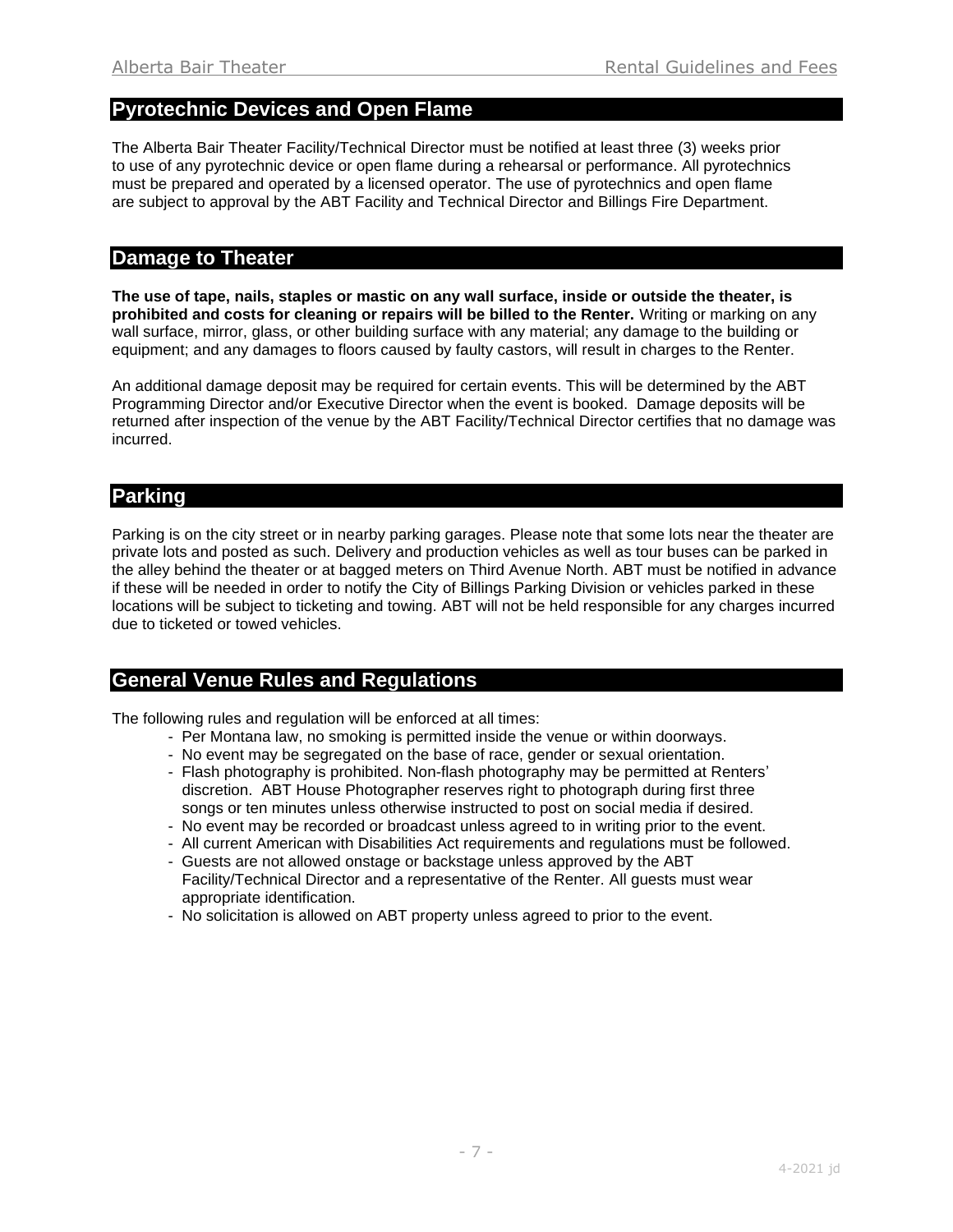#### **Pyrotechnic Devices and Open Flame**

The Alberta Bair Theater Facility/Technical Director must be notified at least three (3) weeks prior to use of any pyrotechnic device or open flame during a rehearsal or performance. All pyrotechnics must be prepared and operated by a licensed operator. The use of pyrotechnics and open flame are subject to approval by the ABT Facility and Technical Director and Billings Fire Department.

#### **Damage to Theater**

**The use of tape, nails, staples or mastic on any wall surface, inside or outside the theater, is prohibited and costs for cleaning or repairs will be billed to the Renter.** Writing or marking on any wall surface, mirror, glass, or other building surface with any material; any damage to the building or equipment; and any damages to floors caused by faulty castors, will result in charges to the Renter.

An additional damage deposit may be required for certain events. This will be determined by the ABT Programming Director and/or Executive Director when the event is booked. Damage deposits will be returned after inspection of the venue by the ABT Facility/Technical Director certifies that no damage was incurred.

#### **Parking**

Parking is on the city street or in nearby parking garages. Please note that some lots near the theater are private lots and posted as such. Delivery and production vehicles as well as tour buses can be parked in the alley behind the theater or at bagged meters on Third Avenue North. ABT must be notified in advance if these will be needed in order to notify the City of Billings Parking Division or vehicles parked in these locations will be subject to ticketing and towing. ABT will not be held responsible for any charges incurred due to ticketed or towed vehicles.

#### **General Venue Rules and Regulations**

The following rules and regulation will be enforced at all times:

- Per Montana law, no smoking is permitted inside the venue or within doorways.
- No event may be segregated on the base of race, gender or sexual orientation.
- Flash photography is prohibited. Non-flash photography may be permitted at Renters' discretion. ABT House Photographer reserves right to photograph during first three songs or ten minutes unless otherwise instructed to post on social media if desired.
- No event may be recorded or broadcast unless agreed to in writing prior to the event.
- All current American with Disabilities Act requirements and regulations must be followed.
- Guests are not allowed onstage or backstage unless approved by the ABT Facility/Technical Director and a representative of the Renter. All guests must wear appropriate identification.
- No solicitation is allowed on ABT property unless agreed to prior to the event.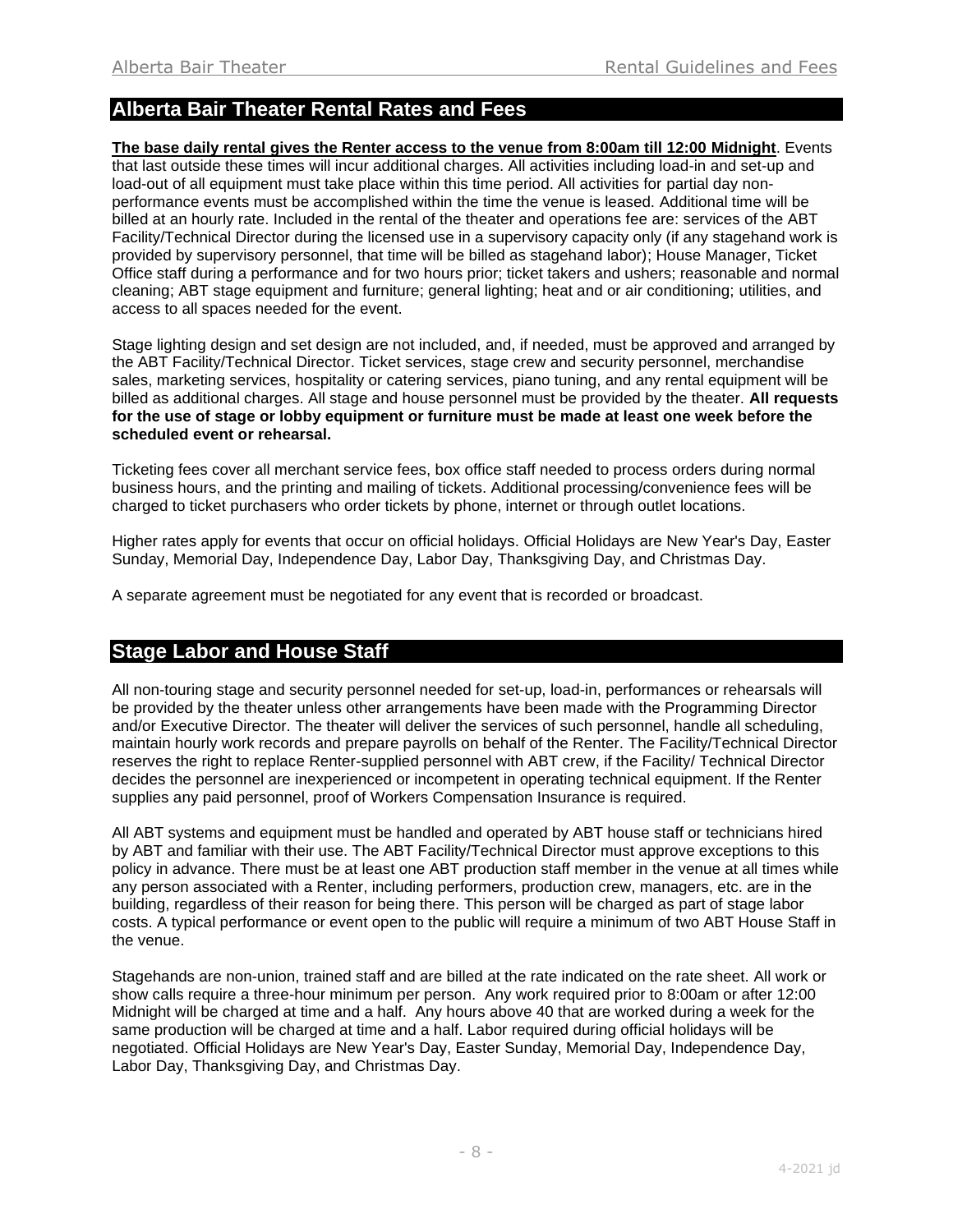## **Alberta Bair Theater Rental Rates and Fees**

**The base daily rental gives the Renter access to the venue from 8:00am till 12:00 Midnight**. Events that last outside these times will incur additional charges. All activities including load-in and set-up and load-out of all equipment must take place within this time period. All activities for partial day nonperformance events must be accomplished within the time the venue is leased. Additional time will be billed at an hourly rate. Included in the rental of the theater and operations fee are: services of the ABT Facility/Technical Director during the licensed use in a supervisory capacity only (if any stagehand work is provided by supervisory personnel, that time will be billed as stagehand labor); House Manager, Ticket Office staff during a performance and for two hours prior; ticket takers and ushers; reasonable and normal cleaning; ABT stage equipment and furniture; general lighting; heat and or air conditioning; utilities, and access to all spaces needed for the event.

Stage lighting design and set design are not included, and, if needed, must be approved and arranged by the ABT Facility/Technical Director. Ticket services, stage crew and security personnel, merchandise sales, marketing services, hospitality or catering services, piano tuning, and any rental equipment will be billed as additional charges. All stage and house personnel must be provided by the theater. **All requests for the use of stage or lobby equipment or furniture must be made at least one week before the scheduled event or rehearsal.** 

Ticketing fees cover all merchant service fees, box office staff needed to process orders during normal business hours, and the printing and mailing of tickets. Additional processing/convenience fees will be charged to ticket purchasers who order tickets by phone, internet or through outlet locations.

Higher rates apply for events that occur on official holidays. Official Holidays are New Year's Day, Easter Sunday, Memorial Day, Independence Day, Labor Day, Thanksgiving Day, and Christmas Day.

A separate agreement must be negotiated for any event that is recorded or broadcast.

## **Stage Labor and House Staff**

All non-touring stage and security personnel needed for set-up, load-in, performances or rehearsals will be provided by the theater unless other arrangements have been made with the Programming Director and/or Executive Director. The theater will deliver the services of such personnel, handle all scheduling, maintain hourly work records and prepare payrolls on behalf of the Renter. The Facility/Technical Director reserves the right to replace Renter-supplied personnel with ABT crew, if the Facility/ Technical Director decides the personnel are inexperienced or incompetent in operating technical equipment. If the Renter supplies any paid personnel, proof of Workers Compensation Insurance is required.

All ABT systems and equipment must be handled and operated by ABT house staff or technicians hired by ABT and familiar with their use. The ABT Facility/Technical Director must approve exceptions to this policy in advance. There must be at least one ABT production staff member in the venue at all times while any person associated with a Renter, including performers, production crew, managers, etc. are in the building, regardless of their reason for being there. This person will be charged as part of stage labor costs. A typical performance or event open to the public will require a minimum of two ABT House Staff in the venue.

Stagehands are non-union, trained staff and are billed at the rate indicated on the rate sheet. All work or show calls require a three-hour minimum per person. Any work required prior to 8:00am or after 12:00 Midnight will be charged at time and a half. Any hours above 40 that are worked during a week for the same production will be charged at time and a half. Labor required during official holidays will be negotiated. Official Holidays are New Year's Day, Easter Sunday, Memorial Day, Independence Day, Labor Day, Thanksgiving Day, and Christmas Day.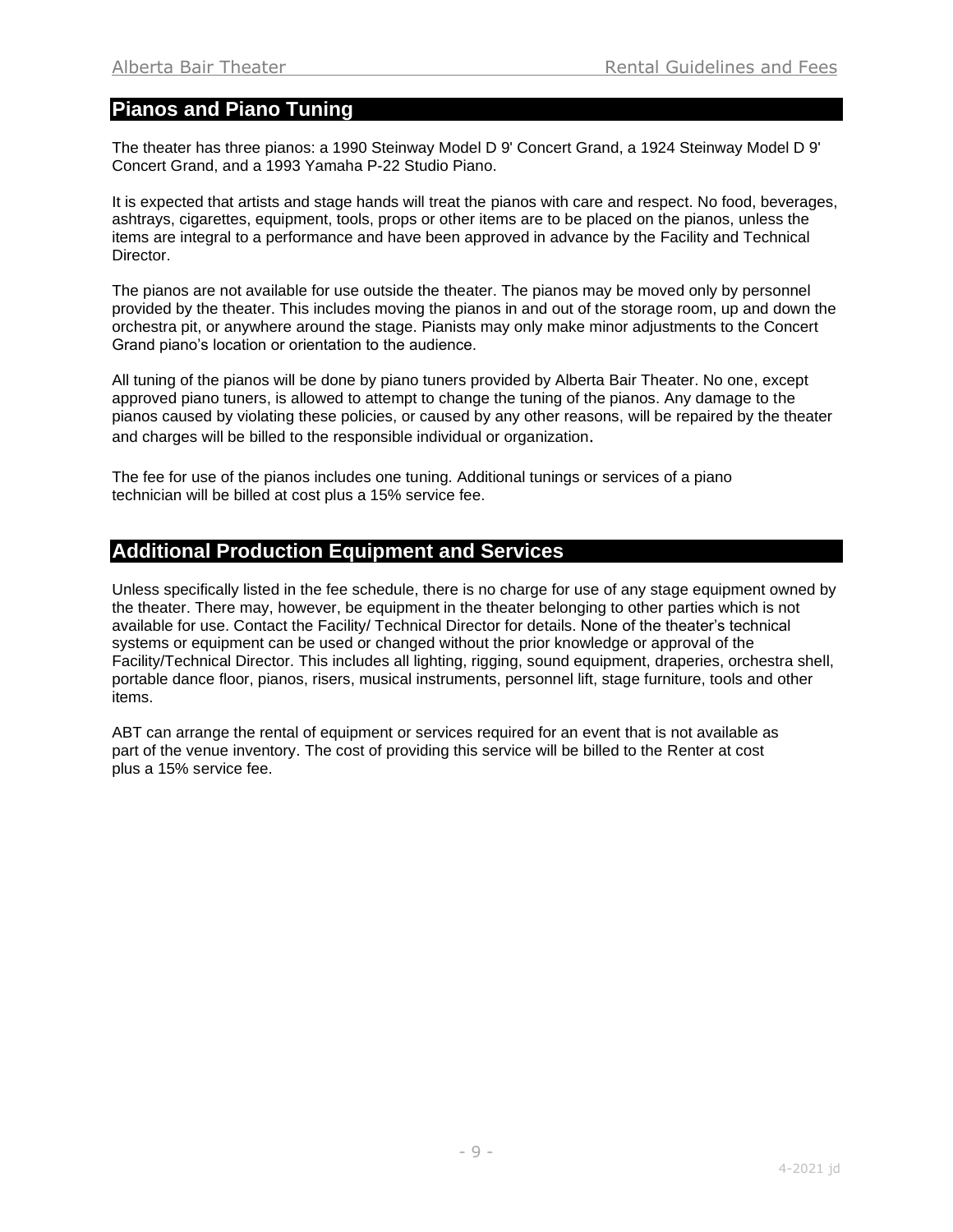## **Pianos and Piano Tuning**

The theater has three pianos: a 1990 Steinway Model D 9' Concert Grand, a 1924 Steinway Model D 9' Concert Grand, and a 1993 Yamaha P-22 Studio Piano.

It is expected that artists and stage hands will treat the pianos with care and respect. No food, beverages, ashtrays, cigarettes, equipment, tools, props or other items are to be placed on the pianos, unless the items are integral to a performance and have been approved in advance by the Facility and Technical Director.

The pianos are not available for use outside the theater. The pianos may be moved only by personnel provided by the theater. This includes moving the pianos in and out of the storage room, up and down the orchestra pit, or anywhere around the stage. Pianists may only make minor adjustments to the Concert Grand piano's location or orientation to the audience.

All tuning of the pianos will be done by piano tuners provided by Alberta Bair Theater. No one, except approved piano tuners, is allowed to attempt to change the tuning of the pianos. Any damage to the pianos caused by violating these policies, or caused by any other reasons, will be repaired by the theater and charges will be billed to the responsible individual or organization.

The fee for use of the pianos includes one tuning. Additional tunings or services of a piano technician will be billed at cost plus a 15% service fee.

# **Additional Production Equipment and Services**

Unless specifically listed in the fee schedule, there is no charge for use of any stage equipment owned by the theater. There may, however, be equipment in the theater belonging to other parties which is not available for use. Contact the Facility/ Technical Director for details. None of the theater's technical systems or equipment can be used or changed without the prior knowledge or approval of the Facility/Technical Director. This includes all lighting, rigging, sound equipment, draperies, orchestra shell, portable dance floor, pianos, risers, musical instruments, personnel lift, stage furniture, tools and other items.

ABT can arrange the rental of equipment or services required for an event that is not available as part of the venue inventory. The cost of providing this service will be billed to the Renter at cost plus a 15% service fee.